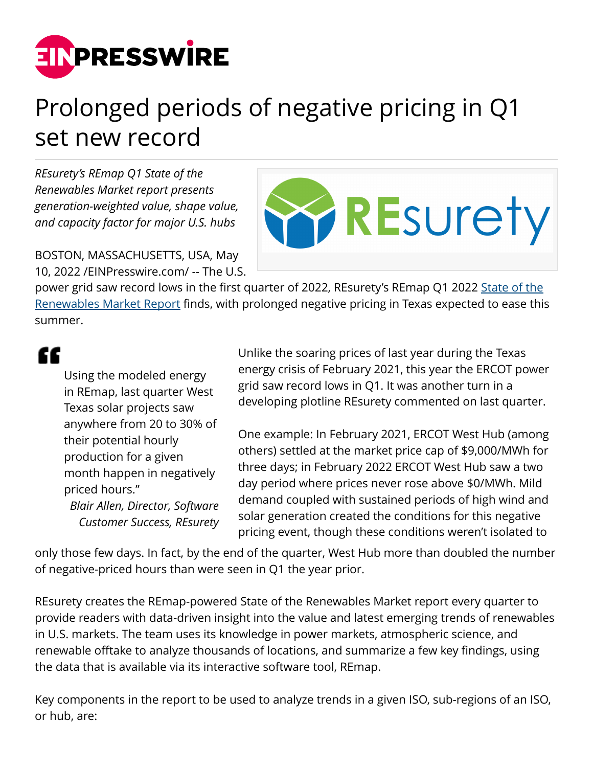

## Prolonged periods of negative pricing in Q1 set new record

*REsurety's REmap Q1 State of the Renewables Market report presents generation-weighted value, shape value, and capacity factor for major U.S. hubs*

BOSTON, MASSACHUSETTS, USA, May 10, 2022 /[EINPresswire.com/](http://www.einpresswire.com) -- The U.S.



power grid saw record lows in the first quarter of 2022, REsurety's REmap Q1 2022 [State of the](https://resurety.com/q1-2022-remap-report/) [Renewables Market Report](https://resurety.com/q1-2022-remap-report/) finds, with prolonged negative pricing in Texas expected to ease this summer.

## ££

Using the modeled energy in REmap, last quarter West Texas solar projects saw anywhere from 20 to 30% of their potential hourly production for a given month happen in negatively priced hours." *Blair Allen, Director, Software*

*Customer Success, REsurety*

Unlike the soaring prices of last year during the Texas energy crisis of February 2021, this year the ERCOT power grid saw record lows in Q1. It was another turn in a developing plotline REsurety commented on last quarter.

One example: In February 2021, ERCOT West Hub (among others) settled at the market price cap of \$9,000/MWh for three days; in February 2022 ERCOT West Hub saw a two day period where prices never rose above \$0/MWh. Mild demand coupled with sustained periods of high wind and solar generation created the conditions for this negative pricing event, though these conditions weren't isolated to

only those few days. In fact, by the end of the quarter, West Hub more than doubled the number of negative-priced hours than were seen in Q1 the year prior.

REsurety creates the REmap-powered State of the Renewables Market report every quarter to provide readers with data-driven insight into the value and latest emerging trends of renewables in U.S. markets. The team uses its knowledge in power markets, atmospheric science, and renewable offtake to analyze thousands of locations, and summarize a few key findings, using the data that is available via its interactive software tool, REmap.

Key components in the report to be used to analyze trends in a given ISO, sub-regions of an ISO, or hub, are: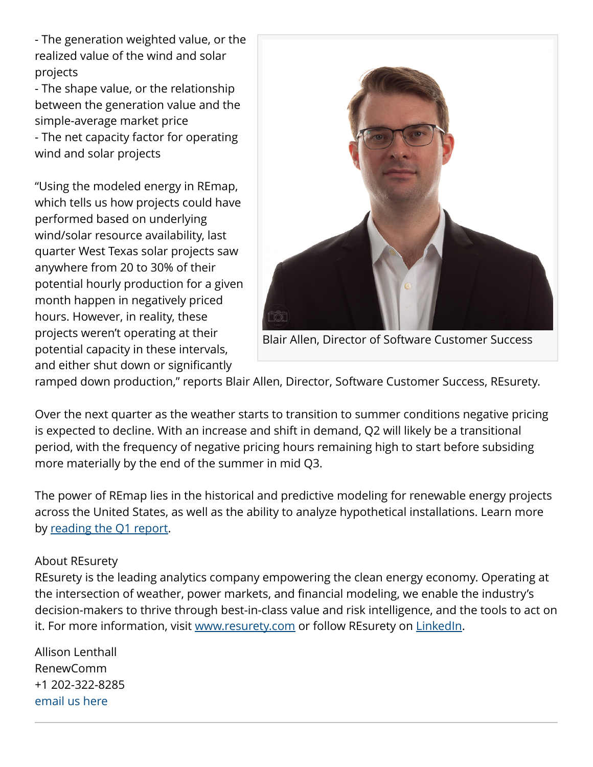- The generation weighted value, or the realized value of the wind and solar projects

- The shape value, or the relationship between the generation value and the simple-average market price - The net capacity factor for operating wind and solar projects

"Using the modeled energy in REmap, which tells us how projects could have performed based on underlying wind/solar resource availability, last quarter West Texas solar projects saw anywhere from 20 to 30% of their potential hourly production for a given month happen in negatively priced hours. However, in reality, these projects weren't operating at their potential capacity in these intervals, and either shut down or significantly



Blair Allen, Director of Software Customer Success

ramped down production," reports Blair Allen, Director, Software Customer Success, REsurety.

Over the next quarter as the weather starts to transition to summer conditions negative pricing is expected to decline. With an increase and shift in demand, Q2 will likely be a transitional period, with the frequency of negative pricing hours remaining high to start before subsiding more materially by the end of the summer in mid Q3.

The power of REmap lies in the historical and predictive modeling for renewable energy projects across the United States, as well as the ability to analyze hypothetical installations. Learn more by [reading the Q1 report.](https://resurety.com/q1-2022-remap-report/)

## About REsurety

REsurety is the leading analytics company empowering the clean energy economy. Operating at the intersection of weather, power markets, and financial modeling, we enable the industry's decision-makers to thrive through best-in-class value and risk intelligence, and the tools to act on it. For more information, visit [www.resurety.com](http://www.resurety.com) or follow REsurety on [LinkedIn](https://www.linkedin.com/company/resurety/).

Allison Lenthall RenewComm +1 202-322-8285 [email us here](http://www.einpresswire.com/contact_author/3479933)